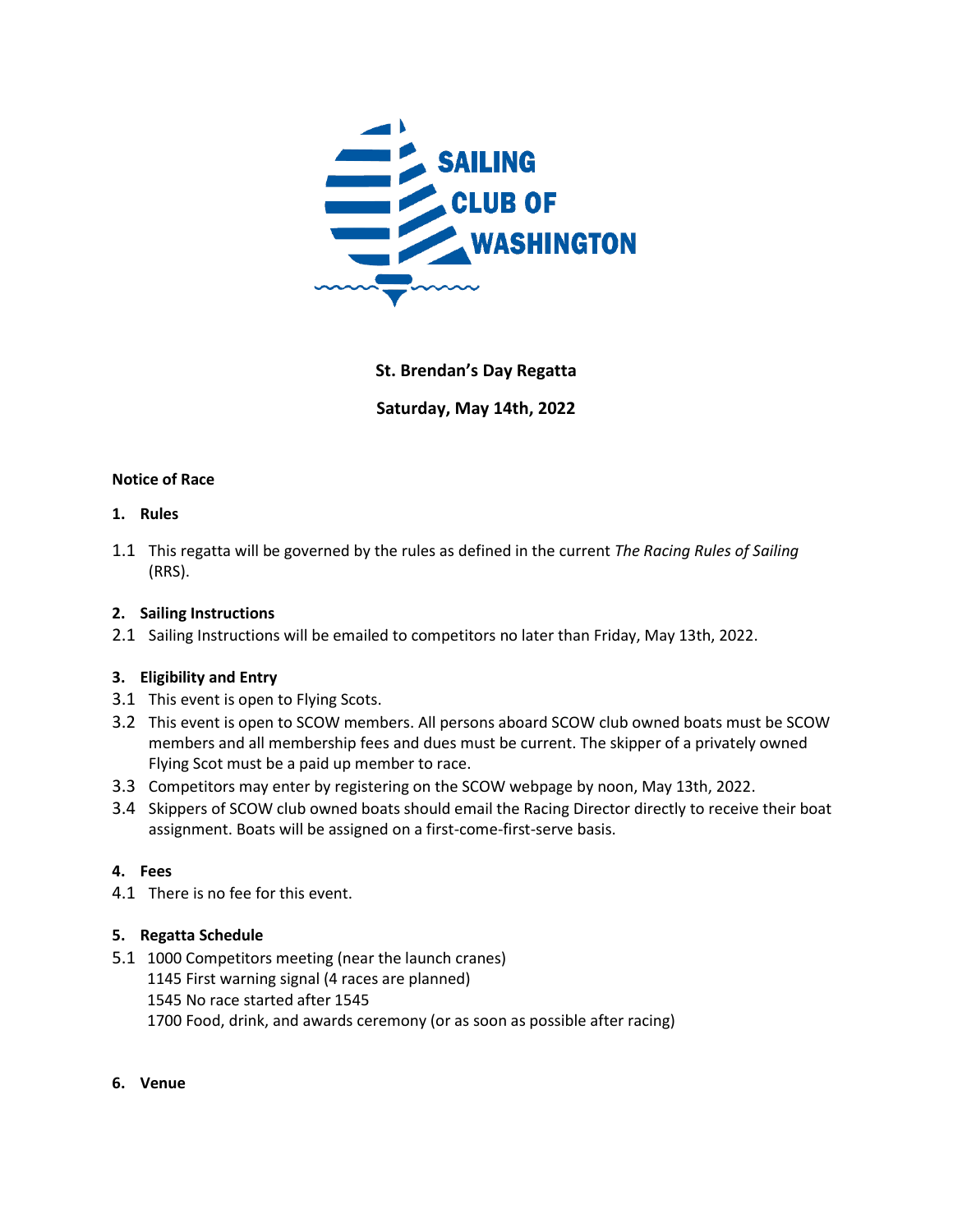

# **St. Brendan's Day Regatta**

**Saturday, May 14th, 2022**

#### **Notice of Race**

#### **1. Rules**

1.1 This regatta will be governed by the rules as defined in the current *The Racing Rules of Sailing*  (RRS).

#### **2. Sailing Instructions**

2.1 Sailing Instructions will be emailed to competitors no later than Friday, May 13th, 2022.

## **3. Eligibility and Entry**

- 3.1 This event is open to Flying Scots.
- 3.2 This event is open to SCOW members. All persons aboard SCOW club owned boats must be SCOW members and all membership fees and dues must be current. The skipper of a privately owned Flying Scot must be a paid up member to race.
- 3.3 Competitors may enter by registering on the SCOW webpage by noon, May 13th, 2022.
- 3.4 Skippers of SCOW club owned boats should email the Racing Director directly to receive their boat assignment. Boats will be assigned on a first-come-first-serve basis.

## **4. Fees**

4.1 There is no fee for this event.

## **5. Regatta Schedule**

- 5.1 1000 Competitors meeting (near the launch cranes)
	- 1145 First warning signal (4 races are planned)
	- 1545 No race started after 1545
	- 1700 Food, drink, and awards ceremony (or as soon as possible after racing)
- **6. Venue**